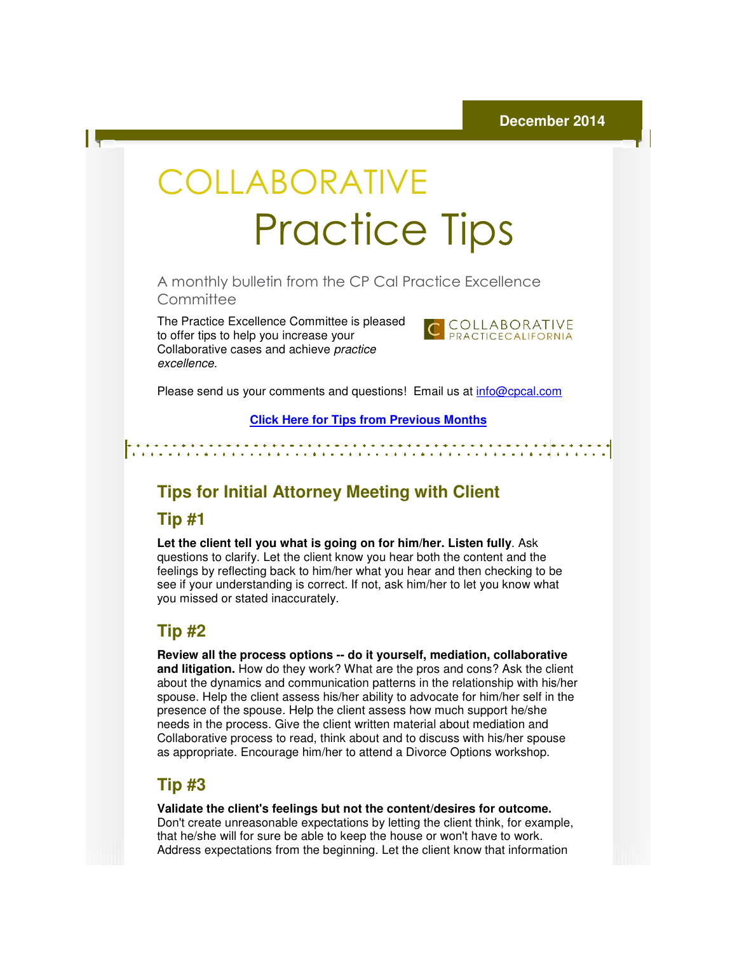# COLLABORATIVE Practice Practice Tips

A monthly bulletin from the CP Cal Practice Excellence CP Cal **Committee** 

The Practice Excellence Committee is pleased to offer tips to help you increase your The Practice Excellence Committee is ple<br>to offer tips to help you increase your<br>Collaborative cases and achieve *practice* excellence.



Please send us your comments and questions! Email us at *info@cpcal.com* 

**Click Here f for Tips from Previous Months**

#### **Tips for Initial Attorney Meeting with Client Attorney Meeting**

# **Tip #1**

Let the client tell you what is going on for him/her. Listen fully. Ask questions to clarify. Let the client know you hear both the content and the feelings by reflecting back to him/her what you hear and then checking to be see if your understanding is correct. If not, ask him/her to let you know what you missed or stated inaccurately. questions to clarify. Let the client know you hear both the content and t<br>feelings by reflecting back to him/her what you hear and then checking<br>see if your understanding is correct. If not, ask him/her to let you know<br>you

#### **Tip #2**

**Review all the process options the process options -- do it yourself, mediation, collaborative and litigation.** How do they work? What are the pros and cons? Ask the client<br>about the dynamics and communication patterns in the relationship with his/her about the dynamics and communication patterns in the relationship spouse. Help the client assess his/her ability to advocate for him/her self in the presence of the spouse. Help the client assess how much support he/she spouse. Help the client assess his/her ability to advocate for him/her self ir<br>presence of the spouse. Help the client assess how much support he/she<br>needs in the process. Give the client written material about mediation a Collaborative process to read, think about and to discuss with his/her spouse as appropriate. Encourage him/her to attend a Divorce Options workshop. **COLLABORATIVE**<br> **Process to read, think** border is plased<br> **Process to read Fractice Excellence**<br>
committee<br>
to fire trips to read Fractice Excellence<br>
content the state of the process point<br>
content to the process to rea

### **Tip #3**

**Validate the client's feelings but not the content/desires for outcome.**  Don't create unreasonable expectations by letting the client think, for example, that he/she will for sure be able to keep the house or won't have to work. Address expectations from the beginning. Let the client know that information